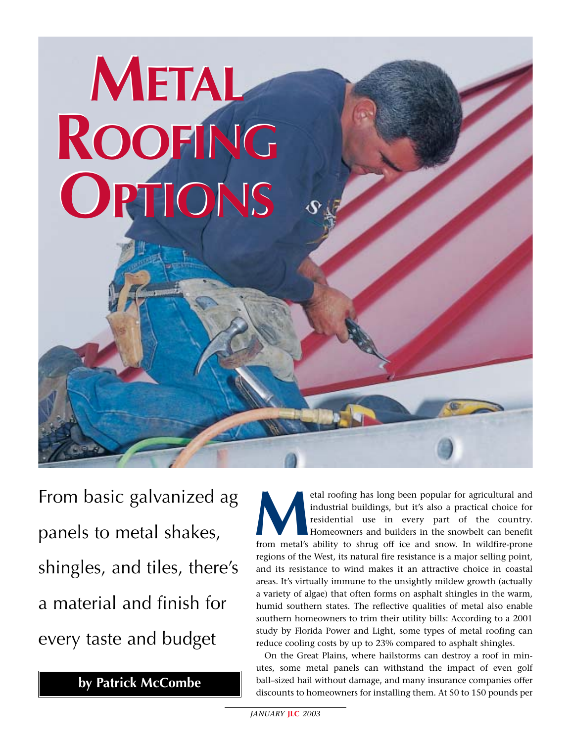# **METAL METAL ROOFING ROOFING OPTIONS OPTIONS**

From basic galvanized ag panels to metal shakes, shingles, and tiles, there's a material and finish for every taste and budget

**by Patrick McCombe**

**M**etal roofing has long been popular for agricultural and industrial buildings, but it's also a practical choice for residential use in every part of the country. Homeowners and builders in the snowbelt can benefit from metal's ability to shrug off ice and snow. In wildfire-prone regions of the West, its natural fire resistance is a major selling point, and its resistance to wind makes it an attractive choice in coastal areas. It's virtually immune to the unsightly mildew growth (actually a variety of algae) that often forms on asphalt shingles in the warm, humid southern states. The reflective qualities of metal also enable southern homeowners to trim their utility bills: According to a 2001 study by Florida Power and Light, some types of metal roofing can reduce cooling costs by up to 23% compared to asphalt shingles.

On the Great Plains, where hailstorms can destroy a roof in minutes, some metal panels can withstand the impact of even golf ball–sized hail without damage, and many insurance companies offer discounts to homeowners for installing them. At 50 to 150 pounds per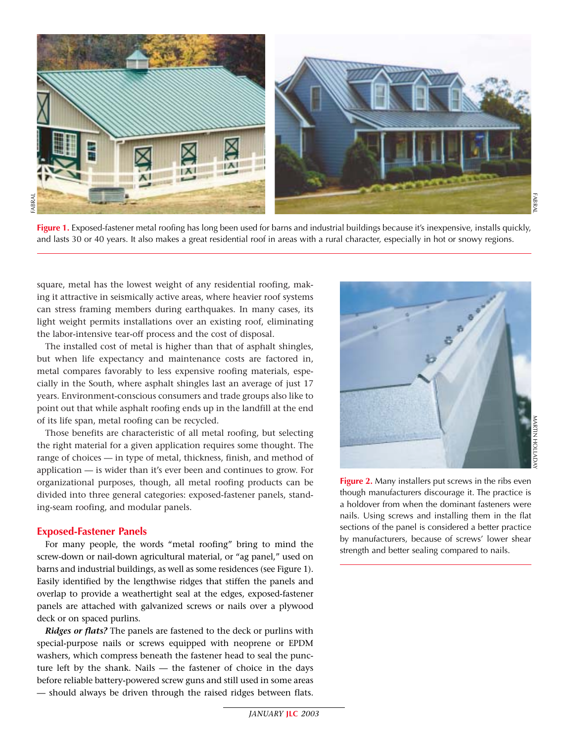

**Figure 1.** Exposed-fastener metal roofing has long been used for barns and industrial buildings because it's inexpensive, installs quickly, and lasts 30 or 40 years. It also makes a great residential roof in areas with a rural character, especially in hot or snowy regions.

square, metal has the lowest weight of any residential roofing, making it attractive in seismically active areas, where heavier roof systems can stress framing members during earthquakes. In many cases, its light weight permits installations over an existing roof, eliminating the labor-intensive tear-off process and the cost of disposal.

The installed cost of metal is higher than that of asphalt shingles, but when life expectancy and maintenance costs are factored in, metal compares favorably to less expensive roofing materials, especially in the South, where asphalt shingles last an average of just 17 years. Environment-conscious consumers and trade groups also like to point out that while asphalt roofing ends up in the landfill at the end of its life span, metal roofing can be recycled.

Those benefits are characteristic of all metal roofing, but selecting the right material for a given application requires some thought. The range of choices — in type of metal, thickness, finish, and method of application — is wider than it's ever been and continues to grow. For organizational purposes, though, all metal roofing products can be divided into three general categories: exposed-fastener panels, standing-seam roofing, and modular panels.

# **Exposed-Fastener Panels**

For many people, the words "metal roofing" bring to mind the screw-down or nail-down agricultural material, or "ag panel," used on barns and industrial buildings, as well as some residences (see Figure 1). Easily identified by the lengthwise ridges that stiffen the panels and overlap to provide a weathertight seal at the edges, exposed-fastener panels are attached with galvanized screws or nails over a plywood deck or on spaced purlins.

*Ridges or flats?* The panels are fastened to the deck or purlins with special-purpose nails or screws equipped with neoprene or EPDM washers, which compress beneath the fastener head to seal the puncture left by the shank. Nails — the fastener of choice in the days before reliable battery-powered screw guns and still used in some areas — should always be driven through the raised ridges between flats.



**Figure 2.** Many installers put screws in the ribs even though manufacturers discourage it. The practice is a holdover from when the dominant fasteners were nails. Using screws and installing them in the flat sections of the panel is considered a better practice by manufacturers, because of screws' lower shear strength and better sealing compared to nails.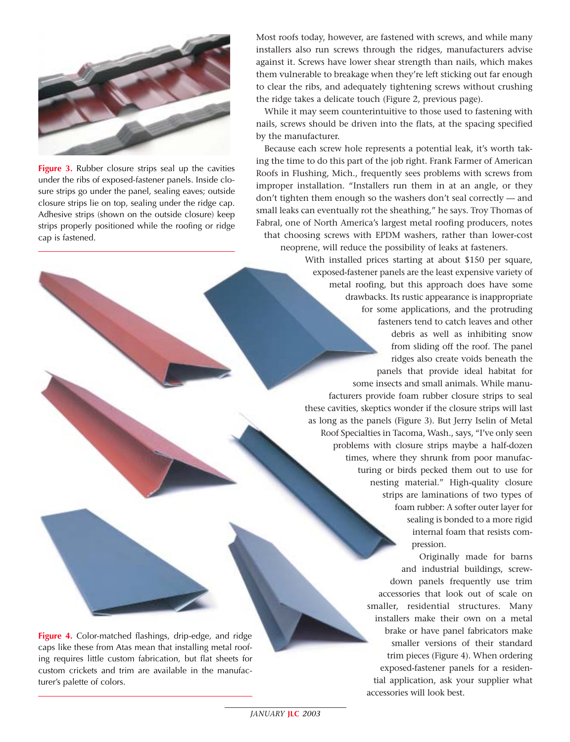

**Figure 3.** Rubber closure strips seal up the cavities under the ribs of exposed-fastener panels. Inside closure strips go under the panel, sealing eaves; outside closure strips lie on top, sealing under the ridge cap. Adhesive strips (shown on the outside closure) keep strips properly positioned while the roofing or ridge cap is fastened.

Most roofs today, however, are fastened with screws, and while many installers also run screws through the ridges, manufacturers advise against it. Screws have lower shear strength than nails, which makes them vulnerable to breakage when they're left sticking out far enough to clear the ribs, and adequately tightening screws without crushing the ridge takes a delicate touch (Figure 2, previous page).

While it may seem counterintuitive to those used to fastening with nails, screws should be driven into the flats, at the spacing specified by the manufacturer.

Because each screw hole represents a potential leak, it's worth taking the time to do this part of the job right. Frank Farmer of American Roofs in Flushing, Mich., frequently sees problems with screws from improper installation. "Installers run them in at an angle, or they don't tighten them enough so the washers don't seal correctly — and small leaks can eventually rot the sheathing," he says. Troy Thomas of Fabral, one of North America's largest metal roofing producers, notes that choosing screws with EPDM washers, rather than lower-cost neoprene, will reduce the possibility of leaks at fasteners.

> With installed prices starting at about \$150 per square, exposed-fastener panels are the least expensive variety of metal roofing, but this approach does have some drawbacks. Its rustic appearance is inappropriate for some applications, and the protruding fasteners tend to catch leaves and other debris as well as inhibiting snow from sliding off the roof. The panel ridges also create voids beneath the panels that provide ideal habitat for some insects and small animals. While manufacturers provide foam rubber closure strips to seal these cavities, skeptics wonder if the closure strips will last as long as the panels (Figure 3). But Jerry Iselin of Metal Roof Specialties in Tacoma, Wash., says, "I've only seen problems with closure strips maybe a half-dozen times, where they shrunk from poor manufacturing or birds pecked them out to use for nesting material." High-quality closure strips are laminations of two types of foam rubber: A softer outer layer for sealing is bonded to a more rigid internal foam that resists compression.

> > Originally made for barns and industrial buildings, screwdown panels frequently use trim accessories that look out of scale on smaller, residential structures. Many installers make their own on a metal brake or have panel fabricators make smaller versions of their standard trim pieces (Figure 4). When ordering exposed-fastener panels for a residential application, ask your supplier what accessories will look best.

**Figure 4.** Color-matched flashings, drip-edge, and ridge caps like these from Atas mean that installing metal roofing requires little custom fabrication, but flat sheets for custom crickets and trim are available in the manufacturer's palette of colors.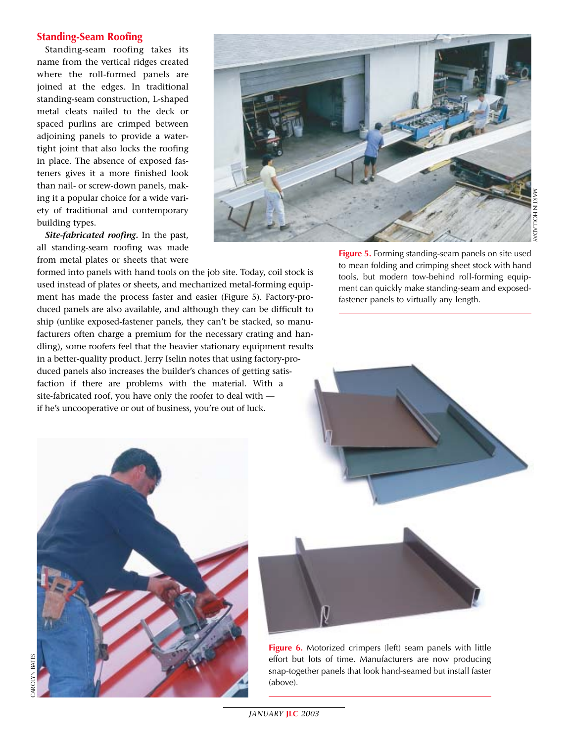# **Standing-Seam Roofing**

Standing-seam roofing takes its name from the vertical ridges created where the roll-formed panels are joined at the edges. In traditional standing-seam construction, L-shaped metal cleats nailed to the deck or spaced purlins are crimped between adjoining panels to provide a watertight joint that also locks the roofing in place. The absence of exposed fasteners gives it a more finished look than nail- or screw-down panels, making it a popular choice for a wide variety of traditional and contemporary building types.

*Site-fabricated roofing.* In the past, all standing-seam roofing was made from metal plates or sheets that were



formed into panels with hand tools on the job site. Today, coil stock is used instead of plates or sheets, and mechanized metal-forming equipment has made the process faster and easier (Figure 5). Factory-produced panels are also available, and although they can be difficult to ship (unlike exposed-fastener panels, they can't be stacked, so manufacturers often charge a premium for the necessary crating and handling), some roofers feel that the heavier stationary equipment results in a better-quality product. Jerry Iselin notes that using factory-produced panels also increases the builder's chances of getting satisfaction if there are problems with the material. With a site-fabricated roof, you have only the roofer to deal with if he's uncooperative or out of business, you're out of luck.

**Figure 5.** Forming standing-seam panels on site used to mean folding and crimping sheet stock with hand tools, but modern tow-behind roll-forming equipment can quickly make standing-seam and exposedfastener panels to virtually any length.





**Figure 6.** Motorized crimpers (left) seam panels with little effort but lots of time. Manufacturers are now producing snap-together panels that look hand-seamed but install faster (above).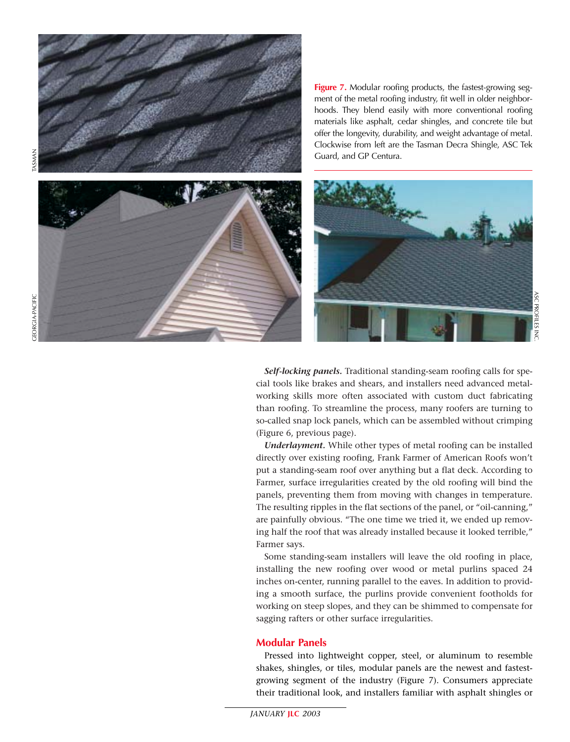

**Figure 7.** Modular roofing products, the fastest-growing segment of the metal roofing industry, fit well in older neighborhoods. They blend easily with more conventional roofing materials like asphalt, cedar shingles, and concrete tile but offer the longevity, durability, and weight advantage of metal. Clockwise from left are the Tasman Decra Shingle, ASC Tek Guard, and GP Centura.



*Self-locking panels.* Traditional standing-seam roofing calls for special tools like brakes and shears, and installers need advanced metalworking skills more often associated with custom duct fabricating than roofing. To streamline the process, many roofers are turning to so-called snap lock panels, which can be assembled without crimping (Figure 6, previous page).

*Underlayment.* While other types of metal roofing can be installed directly over existing roofing, Frank Farmer of American Roofs won't put a standing-seam roof over anything but a flat deck. According to Farmer, surface irregularities created by the old roofing will bind the panels, preventing them from moving with changes in temperature. The resulting ripples in the flat sections of the panel, or "oil-canning," are painfully obvious. "The one time we tried it, we ended up removing half the roof that was already installed because it looked terrible," Farmer says.

Some standing-seam installers will leave the old roofing in place, installing the new roofing over wood or metal purlins spaced 24 inches on-center, running parallel to the eaves. In addition to providing a smooth surface, the purlins provide convenient footholds for working on steep slopes, and they can be shimmed to compensate for sagging rafters or other surface irregularities.

# **Modular Panels**

Pressed into lightweight copper, steel, or aluminum to resemble shakes, shingles, or tiles, modular panels are the newest and fastestgrowing segment of the industry (Figure 7). Consumers appreciate their traditional look, and installers familiar with asphalt shingles or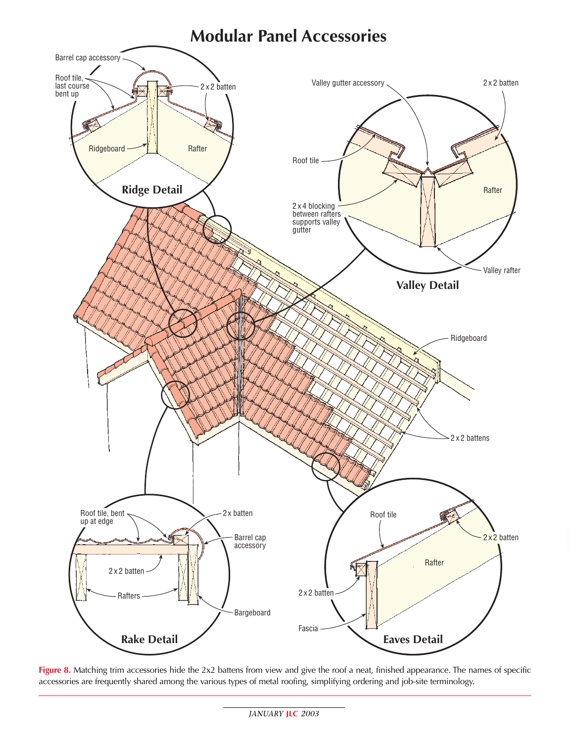

**Figure 8.** Matching trim accessories hide the 2x2 battens from view and give the roof a neat, finished appearance. The names of specific accessories are frequently shared among the various types of metal roofing, simplifying ordering and job-site terminology.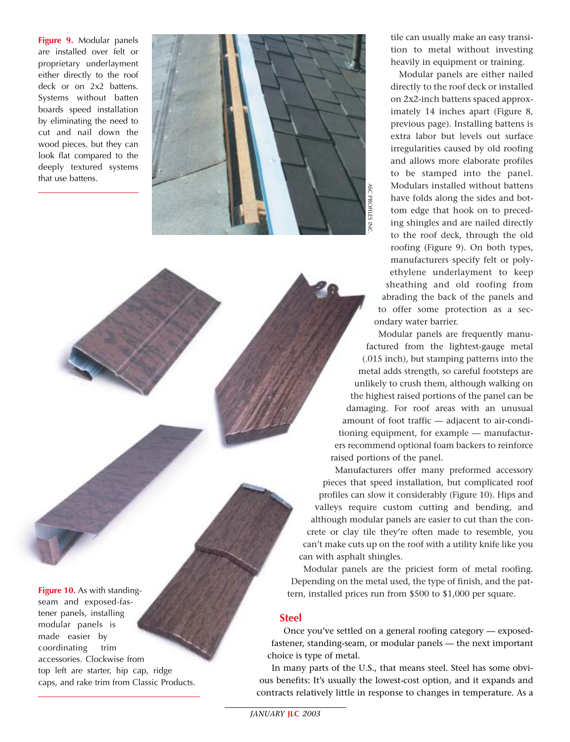**Figure 9.** Modular panels are installed over felt or proprietary underlayment either directly to the roof deck or on 2x2 battens. Systems without batten boards speed installation by eliminating the need to cut and nail down the wood pieces, but they can look flat compared to the deeply textured systems that use battens.



**Figure 10.** As with standingseam and exposed-fastener panels, installing modular panels is made easier by coordinating trim accessories. Clockwise from top left are starter, hip cap, ridge caps, and rake trim from Classic Products.

tile can usually make an easy transition to metal without investing heavily in equipment or training.

Modular panels are either nailed directly to the roof deck or installed on 2x2-inch battens spaced approximately 14 inches apart (Figure 8, previous page). Installing battens is extra labor but levels out surface irregularities caused by old roofing and allows more elaborate profiles to be stamped into the panel. Modulars installed without battens have folds along the sides and bottom edge that hook on to preceding shingles and are nailed directly to the roof deck, through the old roofing (Figure 9). On both types, manufacturers specify felt or polyethylene underlayment to keep sheathing and old roofing from abrading the back of the panels and to offer some protection as a secondary water barrier.

Modular panels are frequently manufactured from the lightest-gauge metal (.015 inch), but stamping patterns into the metal adds strength, so careful footsteps are unlikely to crush them, although walking on the highest raised portions of the panel can be damaging. For roof areas with an unusual amount of foot traffic — adjacent to air-conditioning equipment, for example — manufacturers recommend optional foam backers to reinforce raised portions of the panel.

Manufacturers offer many preformed accessory pieces that speed installation, but complicated roof profiles can slow it considerably (Figure 10). Hips and valleys require custom cutting and bending, and although modular panels are easier to cut than the concrete or clay tile they're often made to resemble, you can't make cuts up on the roof with a utility knife like you can with asphalt shingles.

Modular panels are the priciest form of metal roofing. Depending on the metal used, the type of finish, and the pattern, installed prices run from \$500 to \$1,000 per square.

# **Steel**

Once you've settled on a general roofing category — exposedfastener, standing-seam, or modular panels — the next important choice is type of metal.

In many parts of the U.S., that means steel. Steel has some obvious benefits: It's usually the lowest-cost option, and it expands and contracts relatively little in response to changes in temperature. As a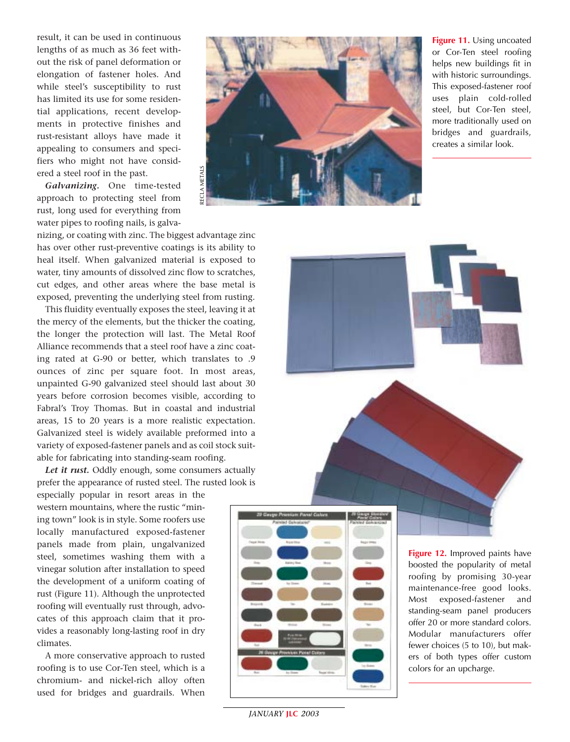result, it can be used in continuous lengths of as much as 36 feet without the risk of panel deformation or elongation of fastener holes. And while steel's susceptibility to rust has limited its use for some residential applications, recent developments in protective finishes and rust-resistant alloys have made it appealing to consumers and specifiers who might not have considered a steel roof in the past.

*Galvanizing.* One time-tested approach to protecting steel from rust, long used for everything from water pipes to roofing nails, is galva-

nizing, or coating with zinc. The biggest advantage zinc has over other rust-preventive coatings is its ability to heal itself. When galvanized material is exposed to water, tiny amounts of dissolved zinc flow to scratches, cut edges, and other areas where the base metal is exposed, preventing the underlying steel from rusting.

This fluidity eventually exposes the steel, leaving it at the mercy of the elements, but the thicker the coating, the longer the protection will last. The Metal Roof Alliance recommends that a steel roof have a zinc coating rated at G-90 or better, which translates to .9 ounces of zinc per square foot. In most areas, unpainted G-90 galvanized steel should last about 30 years before corrosion becomes visible, according to Fabral's Troy Thomas. But in coastal and industrial areas, 15 to 20 years is a more realistic expectation. Galvanized steel is widely available preformed into a variety of exposed-fastener panels and as coil stock suitable for fabricating into standing-seam roofing.

*Let it rust.* Oddly enough, some consumers actually prefer the appearance of rusted steel. The rusted look is

especially popular in resort areas in the western mountains, where the rustic "mining town" look is in style. Some roofers use locally manufactured exposed-fastener panels made from plain, ungalvanized steel, sometimes washing them with a vinegar solution after installation to speed the development of a uniform coating of rust (Figure 11). Although the unprotected roofing will eventually rust through, advocates of this approach claim that it provides a reasonably long-lasting roof in dry climates.

A more conservative approach to rusted roofing is to use Cor-Ten steel, which is a chromium- and nickel-rich alloy often used for bridges and guardrails. When



**Figure 11.** Using uncoated or Cor-Ten steel roofing helps new buildings fit in with historic surroundings. This exposed-fastener roof uses plain cold-rolled steel, but Cor-Ten steel, more traditionally used on bridges and guardrails, creates a similar look.



**Figure 12.** Improved paints have boosted the popularity of metal roofing by promising 30-year maintenance-free good looks. Most exposed-fastener and standing-seam panel producers offer 20 or more standard colors. Modular manufacturers offer fewer choices (5 to 10), but makers of both types offer custom colors for an upcharge.

*JANUARY* **JLC** *2003*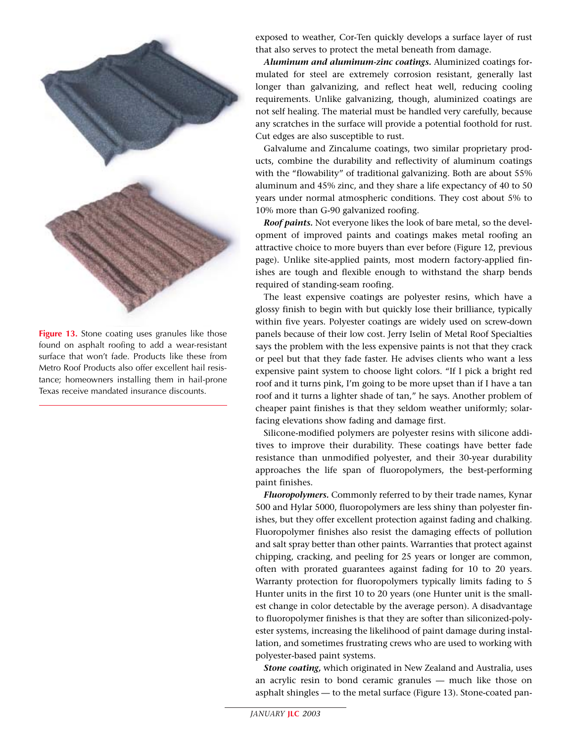

**Figure 13.** Stone coating uses granules like those found on asphalt roofing to add a wear-resistant surface that won't fade. Products like these from Metro Roof Products also offer excellent hail resistance; homeowners installing them in hail-prone Texas receive mandated insurance discounts.

exposed to weather, Cor-Ten quickly develops a surface layer of rust that also serves to protect the metal beneath from damage.

*Aluminum and aluminum-zinc coatings.* Aluminized coatings formulated for steel are extremely corrosion resistant, generally last longer than galvanizing, and reflect heat well, reducing cooling requirements. Unlike galvanizing, though, aluminized coatings are not self healing. The material must be handled very carefully, because any scratches in the surface will provide a potential foothold for rust. Cut edges are also susceptible to rust.

Galvalume and Zincalume coatings, two similar proprietary products, combine the durability and reflectivity of aluminum coatings with the "flowability" of traditional galvanizing. Both are about 55% aluminum and 45% zinc, and they share a life expectancy of 40 to 50 years under normal atmospheric conditions. They cost about 5% to 10% more than G-90 galvanized roofing.

*Roof paints.* Not everyone likes the look of bare metal, so the development of improved paints and coatings makes metal roofing an attractive choice to more buyers than ever before (Figure 12, previous page). Unlike site-applied paints, most modern factory-applied finishes are tough and flexible enough to withstand the sharp bends required of standing-seam roofing.

The least expensive coatings are polyester resins, which have a glossy finish to begin with but quickly lose their brilliance, typically within five years. Polyester coatings are widely used on screw-down panels because of their low cost. Jerry Iselin of Metal Roof Specialties says the problem with the less expensive paints is not that they crack or peel but that they fade faster. He advises clients who want a less expensive paint system to choose light colors. "If I pick a bright red roof and it turns pink, I'm going to be more upset than if I have a tan roof and it turns a lighter shade of tan," he says. Another problem of cheaper paint finishes is that they seldom weather uniformly; solarfacing elevations show fading and damage first.

Silicone-modified polymers are polyester resins with silicone additives to improve their durability. These coatings have better fade resistance than unmodified polyester, and their 30-year durability approaches the life span of fluoropolymers, the best-performing paint finishes.

*Fluoropolymers.* Commonly referred to by their trade names, Kynar 500 and Hylar 5000, fluoropolymers are less shiny than polyester finishes, but they offer excellent protection against fading and chalking. Fluoropolymer finishes also resist the damaging effects of pollution and salt spray better than other paints. Warranties that protect against chipping, cracking, and peeling for 25 years or longer are common, often with prorated guarantees against fading for 10 to 20 years. Warranty protection for fluoropolymers typically limits fading to 5 Hunter units in the first 10 to 20 years (one Hunter unit is the smallest change in color detectable by the average person). A disadvantage to fluoropolymer finishes is that they are softer than siliconized-polyester systems, increasing the likelihood of paint damage during installation, and sometimes frustrating crews who are used to working with polyester-based paint systems.

*Stone coating,* which originated in New Zealand and Australia, uses an acrylic resin to bond ceramic granules — much like those on asphalt shingles — to the metal surface (Figure 13). Stone-coated pan-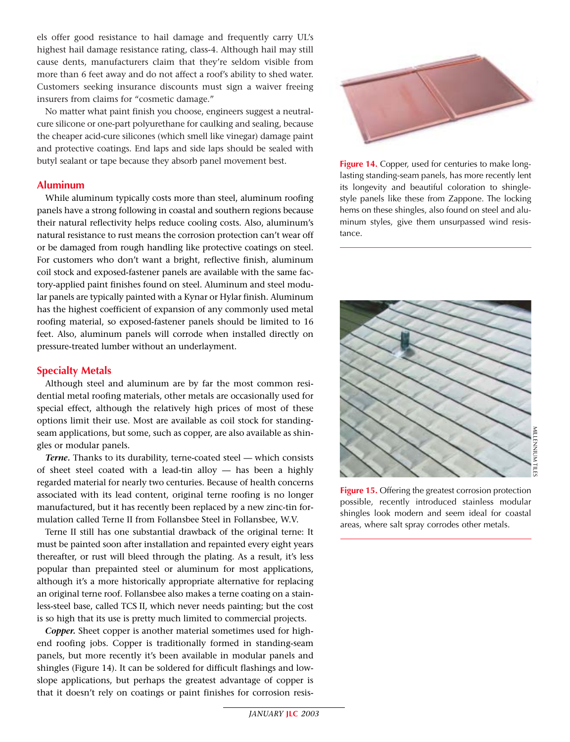els offer good resistance to hail damage and frequently carry UL's highest hail damage resistance rating, class-4. Although hail may still cause dents, manufacturers claim that they're seldom visible from more than 6 feet away and do not affect a roof's ability to shed water. Customers seeking insurance discounts must sign a waiver freeing insurers from claims for "cosmetic damage."

No matter what paint finish you choose, engineers suggest a neutralcure silicone or one-part polyurethane for caulking and sealing, because the cheaper acid-cure silicones (which smell like vinegar) damage paint and protective coatings. End laps and side laps should be sealed with butyl sealant or tape because they absorb panel movement best.

# **Aluminum**

While aluminum typically costs more than steel, aluminum roofing panels have a strong following in coastal and southern regions because their natural reflectivity helps reduce cooling costs. Also, aluminum's natural resistance to rust means the corrosion protection can't wear off or be damaged from rough handling like protective coatings on steel. For customers who don't want a bright, reflective finish, aluminum coil stock and exposed-fastener panels are available with the same factory-applied paint finishes found on steel. Aluminum and steel modular panels are typically painted with a Kynar or Hylar finish. Aluminum has the highest coefficient of expansion of any commonly used metal roofing material, so exposed-fastener panels should be limited to 16 feet. Also, aluminum panels will corrode when installed directly on pressure-treated lumber without an underlayment.

# **Specialty Metals**

Although steel and aluminum are by far the most common residential metal roofing materials, other metals are occasionally used for special effect, although the relatively high prices of most of these options limit their use. Most are available as coil stock for standingseam applications, but some, such as copper, are also available as shingles or modular panels.

*Terne.* Thanks to its durability, terne-coated steel — which consists of sheet steel coated with a lead-tin alloy — has been a highly regarded material for nearly two centuries. Because of health concerns associated with its lead content, original terne roofing is no longer manufactured, but it has recently been replaced by a new zinc-tin formulation called Terne II from Follansbee Steel in Follansbee, W.V.

Terne II still has one substantial drawback of the original terne: It must be painted soon after installation and repainted every eight years thereafter, or rust will bleed through the plating. As a result, it's less popular than prepainted steel or aluminum for most applications, although it's a more historically appropriate alternative for replacing an original terne roof. Follansbee also makes a terne coating on a stainless-steel base, called TCS II, which never needs painting; but the cost is so high that its use is pretty much limited to commercial projects.

*Copper.* Sheet copper is another material sometimes used for highend roofing jobs. Copper is traditionally formed in standing-seam panels, but more recently it's been available in modular panels and shingles (Figure 14). It can be soldered for difficult flashings and lowslope applications, but perhaps the greatest advantage of copper is that it doesn't rely on coatings or paint finishes for corrosion resis-



**Figure 14.** Copper, used for centuries to make longlasting standing-seam panels, has more recently lent its longevity and beautiful coloration to shinglestyle panels like these from Zappone. The locking hems on these shingles, also found on steel and aluminum styles, give them unsurpassed wind resistance.



**Figure 15.** Offering the greatest corrosion protection possible, recently introduced stainless modular shingles look modern and seem ideal for coastal areas, where salt spray corrodes other metals.